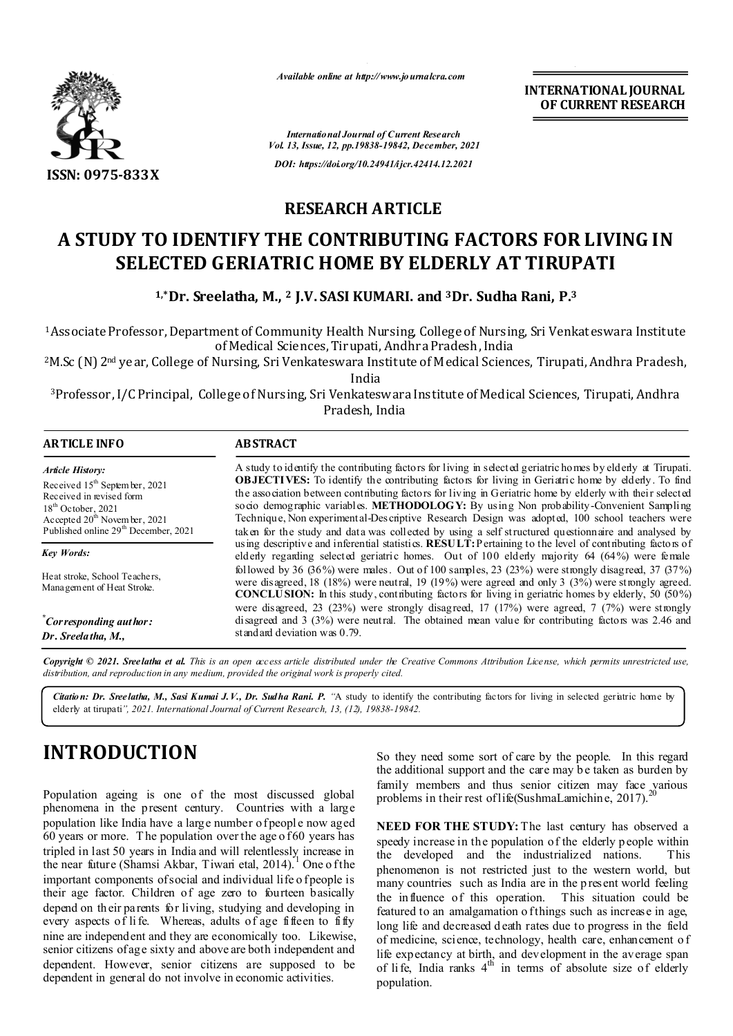

*Available online at http://www.journalcra.com*

**INTERNATIONAL JOURNAL OF CURRENT RESEARCH**

*International Journal of Current Research Vol. 13, Issue, 12, pp.19838-19842, December, 2021 DOI: https://doi.org/10.24941/ijcr.42414.12.2021*

## **RESEARCH ARTICLE**

## **A STUDY TO IDENTIFY THE CONTRIBUTING FACTORS FOR LIVING IN SELECTED GERIATRIC HOME BY ELDERLY AT TIRUPATI**

**1,\*Dr. Sreelatha, M., 2 J.V. SASI KUMARI. and 3Dr. Sudha Rani, P.3**

1Associate Professor, Department of Community Health Nursing, College of Nursing, Sri Venkateswara Institute of Medical Sciences, Tirupati, Andhra Pradesh, India

2M.Sc (N) 2nd year, College of Nursing, Sri Venkateswara Institute of Medical Sciences, Tirupati, Andhra Pradesh,

India

3Professor, I/C Principal, College of Nursing, Sri Venkateswara Institute of Medical Sciences, Tirupati, Andhra Pradesh, India

| <b>ARTICLE INFO</b>                                                                                                                                                                                            | <b>ABSTRACT</b>                                                                                                                                                                                                                                                                                                                                                                                                                                                                                                                                                                                                                       |  |  |  |
|----------------------------------------------------------------------------------------------------------------------------------------------------------------------------------------------------------------|---------------------------------------------------------------------------------------------------------------------------------------------------------------------------------------------------------------------------------------------------------------------------------------------------------------------------------------------------------------------------------------------------------------------------------------------------------------------------------------------------------------------------------------------------------------------------------------------------------------------------------------|--|--|--|
| <b>Article History:</b><br>Received $15th$ September, 2021<br>Received in revised form<br>$18th$ October, 2021<br>Accepted 20 <sup>th</sup> November, 2021<br>Published online 29 <sup>th</sup> December, 2021 | A study to identify the contributing factors for living in selected geriatric homes by elderly at Tirupati.<br><b>OBJECTIVES:</b> To identify the contributing factors for living in Geriatric home by elderly. To find<br>the association between contributing factors for living in Geriatric home by elderly with their selected<br>socio demographic variables. METHODOLOGY: By using Non probability-Convenient Sampling<br>Technique, Non experimental-Descriptive Research Design was adopted, 100 school teachers were<br>taken for the study and data was collected by using a self structured questionnaire and analysed by |  |  |  |
| <b>Key Words:</b>                                                                                                                                                                                              | using descriptive and inferential statistics. RESULT: Pertaining to the level of contributing factors of<br>elderly regarding selected geriatric homes. Out of 100 elderly majority 64 (64%) were female<br>followed by 36 $(36\%)$ were males. Out of 100 samples, 23 $(23\%)$ were strongly disagreed, 37 $(37\%)$<br>were disagreed, $18$ ( $18\%$ ) were neutral, $19$ ( $19\%$ ) were agreed and only 3 ( $3\%$ ) were strongly agreed.<br><b>CONCLUSION:</b> In this study, contributing factors for living in geriatric homes by elderly, 50 $(50\%)$                                                                          |  |  |  |
| Heat stroke, School Teachers,<br>Mana gem ent of Heat Stroke.                                                                                                                                                  |                                                                                                                                                                                                                                                                                                                                                                                                                                                                                                                                                                                                                                       |  |  |  |
| "Corresponding author:<br>Dr. Sreela tha, M.,                                                                                                                                                                  | were disagreed, 23 $(23%)$ were strongly disagreed, 17 $(17%)$ were agreed, 7 $(7%)$ were strongly<br>disagreed and $3$ ( $3\%$ ) were neutral. The obtained mean value for contributing factors was 2.46 and<br>standard deviation was 0.79.                                                                                                                                                                                                                                                                                                                                                                                         |  |  |  |

Copyright © 2021. Sreelatha et al. This is an open access article distributed under the Creative Commons Attribution License, which permits unrestricted use, *distribution, and reproduction in any medium, provided the original work is properly cited.*

*Citation: Dr. Sreelatha, M., Sasi Kumai J.V., Dr. Sudha Rani. P. "*A study to identify the contributing factors for living in selected geriatric home by elderly at tirupati*", 2021. International Journal of Current Research, 13, (12), 19838-19842.*

# **INTRODUCTION**

Population ageing is one of the most discussed global phenomena in the present century. Countries with a large population like India have a large number of people now aged  $60$  years or more. The population over the age of  $60$  years has tripled in last 50 years in India and will relentlessly increase in the near future (Shamsi Akbar, Tiwari etal, 2014).<sup>1</sup> One o f the important components of social and individual life o f people is their age factor. Children of age zero to fourteen basically depend on their parents for living, studying and developing in every aspects of life. Whereas, adults of age fifteen to  $\overline{\text{if}}$  fly nine are independent and they are economically too. Likewise, senior citizens of age sixty and above are both independent and dependent. However, senior citizens are supposed to be dependent in general do not involve in economic activities.

So they need some sort of care by the people. In this regard the additional support and the care may b e taken as burden by family members and thus senior citizen may face various problems in their rest of life(SushmaLamichine, 2017).

**NEED FOR THE STUDY:** The last century has observed a speedy increase in the population of the elderly p eople within the developed and the industrialized nations. This phenomenon is not restricted just to the western world, but many countries such as India are in the present world feeling the influence of this operation. This situation could be featured to an amalgamation o f things such as increase in age. long life and decreased d eath rates due to progress in the field of medicine, science, technology, health care, enhancement o f life expectancy at birth, and development in the average span of life, India ranks  $4<sup>th</sup>$  in terms of absolute size of elderly population.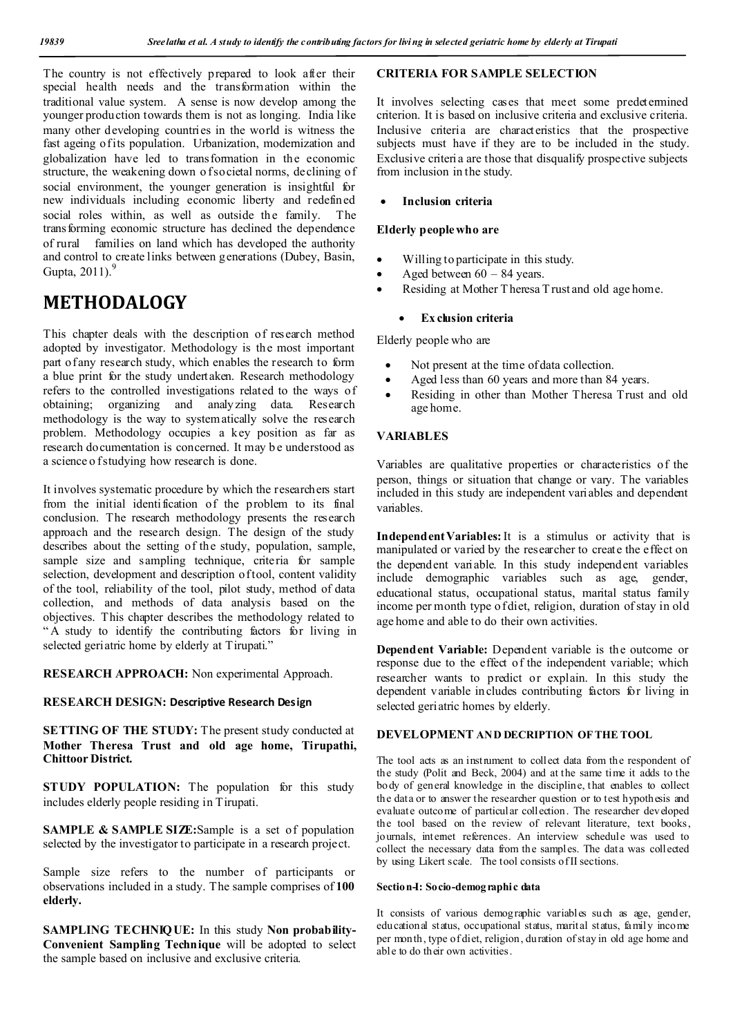The country is not effectively prepared to look after their special health needs and the transformation within the traditional value system. A sense is now develop among the younger production towards them is not as longing. India like many other developing countries in the world is witness the fast ageing of its population. Urbanization, modernization and globalization have led to transformation in the economic structure, the weakening down of societal norms, declining of social environment, the younger generation is insightful for new individuals including economic liberty and redefined social roles within, as well as outside the family. The transforming economic structure has declined the dependence of rural families on land which has developed the authority and control to create links between generations (Dubey, Basin, Gupta,  $2011$ ).<sup>9</sup>

## **METHODALOGY**

This chapter deals with the description of research method adopted by investigator. Methodology is the most important part of any research study, which enables the research to form a blue print for the study undertaken. Research methodology refers to the controlled investigations related to the ways of obtaining; organizing and analyzing data. Research methodology is the way to systematically solve the research problem. Methodology occupies a key position as far as research documentation is concerned. It may b e understood as a science o f studying how research is done.

It involves systematic procedure by which the researchers start from the initial identification of the problem to its final conclusion. The research methodology presents the research approach and the research design. The design of the study describes about the setting of the study, population, sample, sample size and sampling technique, criteria for sample selection, development and description of tool, content validity of the tool, reliability of the tool, pilot study, method of data collection, and methods of data analysis based on the objectives. This chapter describes the methodology related to " A study to identify the contributing factors for living in selected geriatric home by elderly at Tirupati."

**RESEARCH APPROACH:** Non experimental Approach.

#### **RESEARCH DESIGN: Descriptive Research Design**

**SETTING OF THE STUDY:** The present study conducted at **Mother Theresa Trust and old age home, Tirupathi, Chittoor District.**

**STUDY POPULATION:** The population for this study includes elderly people residing in Tirupati.

**SAMPLE & SAMPLE SIZE:**Sample is a set of population selected by the investigator to participate in a research project.

Sample size refers to the number of participants or observations included in a study. The sample comprises of **100 elderly.**

**SAMPLING TECHNIQUE:** In this study **Non probability-Convenient Sampling Technique** will be adopted to select the sample based on inclusive and exclusive criteria.

#### **CRITERIA FOR SAMPLE SELECTION**

It involves selecting cases that meet some predetermined criterion. It is based on inclusive criteria and exclusive criteria. Inclusive criteria are characteristics that the prospective subjects must have if they are to be included in the study. Exclusive criteria are those that disqualify prospective subjects from inclusion in the study.

### **Inclusion criteria**

#### **Elderly people who are**

- Willing to participate in this study.
- Aged between 60 84 years.
- Residing at Mother T heresa T rust and old age home.

### **Ex clusion criteria**

Elderly people who are

- Not present at the time of data collection.
- Aged less than 60 years and more than 84 years.
- Residing in other than Mother Theresa Trust and old age home.

### **VARIABLES**

Variables are qualitative properties or characteristics of the person, things or situation that change or vary. The variables included in this study are independent variables and dependent variables.

**Independent Variables:** It is a stimulus or activity that is manipulated or varied by the researcher to create the effect on the dependent variable. In this study independent variables include demographic variables such as age, gender, educational status, occupational status, marital status family income per month type o f diet, religion, duration of stay in old age home and able to do their own activities.

**Dependent Variable:** Dependent variable is the outcome or response due to the effect of the independent variable; which researcher wants to predict or explain. In this study the dependent variable includes contributing factors for living in selected geriatric homes by elderly.

### **DEVELOPMENT AND DECRIPTION OF THE TOOL**

The tool acts as an instrument to collect data from the respondent of the study (Polit and Beck, 2004) and at the same time it adds to the body of general knowledge in the discipline, that enables to collect the data or to answer the researcher question or to test hypothesis and evaluate outcome of particular collection. The researcher developed the tool based on the review of relevant literature, text books, journals, internet references. An interview schedule was used to collect the necessary data from the samples. The data was collected by using Likert scale. The tool consists of II sections.

#### **Section-I: Socio-demographic data**

It consists of various demographic variables such as age, gender, educational status, occupational status, marital status, family income per month, type of diet, religion, duration of stay in old age home and able to do their own activities.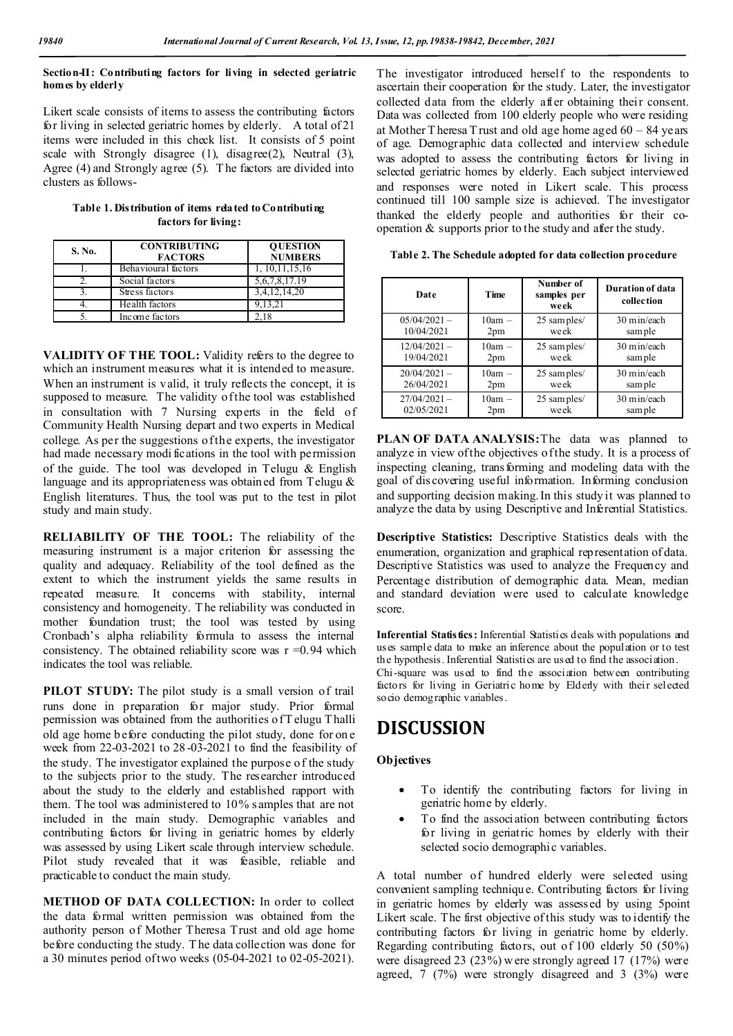#### **Section-II: Contributing factors for living in selected geriatric homes by elderly**

Likert scale consists of items to assess the contributing factors for living in selected geriatric homes by elderly. A total of 21 items were included in this check list. It consists of 5 point scale with Strongly disagree (1), disagree(2), Neutral (3), Agree (4) and Strongly agree (5). T he factors are divided into clusters as follows-

| Table 1. Distribution of items related to Contributing |  |  |  |  |  |
|--------------------------------------------------------|--|--|--|--|--|
| factors for living:                                    |  |  |  |  |  |

| S. No. | <b>CONTRIBUTING</b><br><b>FACTORS</b> | <b>OUESTION</b><br><b>NUMBERS</b> |
|--------|---------------------------------------|-----------------------------------|
|        | Behavioural factors                   | 1, 10, 11, 15, 16                 |
|        | Social factors                        | 5, 6, 7, 8, 17. 19                |
|        | Stress factors                        | 3,4,12,14,20                      |
|        | Health factors                        | 9.13.21                           |
|        | Income factors                        |                                   |

**VALIDITY OF THE TOOL:** Validity refers to the degree to which an instrument measures what it is intended to measure. When an instrument is valid, it truly reflects the concept, it is supposed to measure. The validity of the tool was established in consultation with 7 Nursing experts in the field of Community Health Nursing depart and two experts in Medical college. As per the suggestions of the experts, the investigator had made necessary modi fications in the tool with permission of the guide. The tool was developed in Telugu & English language and its appropriateness was obtained from Telugu & English literatures. Thus, the tool was put to the test in pilot study and main study.

**RELIABILITY OF THE TOOL:** The reliability of the measuring instrument is a major criterion for assessing the quality and adequacy. Reliability of the tool defined as the extent to which the instrument yields the same results in repeated measure. It concerns with stability, internal consistency and homogeneity. T he reliability was conducted in mother foundation trust; the tool was tested by using Cronbach's alpha reliability formula to assess the internal consistency. The obtained reliability score was  $r = 0.94$  which indicates the tool was reliable.

PILOT STUDY: The pilot study is a small version of trail runs done in preparation for major study. Prior formal permission was obtained from the authorities of T elugu Thalli old age home b efore conducting the pilot study, done for on e week from 22-03-2021 to 28 -03-2021 to find the feasibility of the study. The investigator explained the purpose of the study to the subjects prior to the study. The researcher introduced about the study to the elderly and established rapport with them. The tool was administered to 10% s amples that are not included in the main study. Demographic variables and contributing factors for living in geriatric homes by elderly was assessed by using Likert scale through interview schedule. Pilot study revealed that it was feasible, reliable and practicable to conduct the main study.

**METHOD OF DATA COLLECTION:** In order to collect the data formal written permission was obtained from the authority person of Mother Theresa Trust and old age home before conducting the study. T he data collection was done for a 30 minutes period of two weeks (05-04-2021 to 02-05-2021).

The investigator introduced herself to the respondents to ascertain their cooperation for the study. Later, the investigator collected data from the elderly after obtaining their consent. Data was collected from 100 elderly people who were residing at Mother T heresa T rust and old age home aged 60 – 84 years of age. Demographic data collected and interview schedule was adopted to assess the contributing factors for living in selected geriatric homes by elderly. Each subject interviewed and responses were noted in Likert scale. This process continued till 100 sample size is achieved. The investigator thanked the elderly people and authorities for their cooperation  $\&$  supports prior to the study and after the study.

**Table 2. The Schedule adopted for data collection procedure**

| Date           | Time            | Number of<br>samples per<br>week | Duration of data<br>collection |
|----------------|-----------------|----------------------------------|--------------------------------|
| $05/04/2021 -$ | $10am -$        | 25 sam ples/                     | 30 min/each                    |
| 10/04/2021     | 2pm             | week                             | sample                         |
| $12/04/2021 -$ | $10am -$        | 25 sam ples/                     | 30 min/each                    |
| 19/04/2021     | 2pm             | week                             | sample                         |
| $20/04/2021 -$ | $10am -$        | 25 sam ples/                     | 30 min/each                    |
| 26/04/2021     | 2pm             | week                             | sample                         |
| $27/04/2021 -$ | $10am -$        | 25 sam ples/                     | 30 min/each                    |
| 02/05/2021     | 2 <sub>pm</sub> | week                             | sample                         |

**PLAN OF DATA ANALYSIS:** The data was planned to analyze in view of the objectives of the study. It is a process of inspecting cleaning, transforming and modeling data with the goal of dis covering useful information. Informing conclusion and supporting decision making. In this study it was planned to analyze the data by using Descriptive and Inferential Statistics.

**Descriptive Statistics:** Descriptive Statistics deals with the enumeration, organization and graphical representation of data. Descriptive Statistics was used to analyze the Frequency and Percentage distribution of demographic data. Mean, median and standard deviation were used to calculate knowledge score.

**Inferential Statistics:** Inferential Statistics deals with populations and uses sample data to make an inference about the population or to test the hypothesis. Inferential Statistics are used to find the association. Chi-square was used to find the association between contributing factors for living in Geriatric home by Elderly with their selected socio demographic variables.

## **DISCUSSION**

### **Objectives**

- To identify the contributing factors for living in geriatric home by elderly.
- To find the association between contributing factors for living in geriatric homes by elderly with their selected socio demographic variables.

A total number of hundred elderly were selected using convenient sampling technique. Contributing factors for living in geriatric homes by elderly was assessed by using 5point Likert scale. The first objective of this study was to identify the contributing factors for living in geriatric home by elderly. Regarding contributing factors, out of 100 elderly 50 (50%) were disagreed 23 (23%) w ere strongly agreed 17 (17%) were agreed, 7 (7%) were strongly disagreed and 3 (3%) were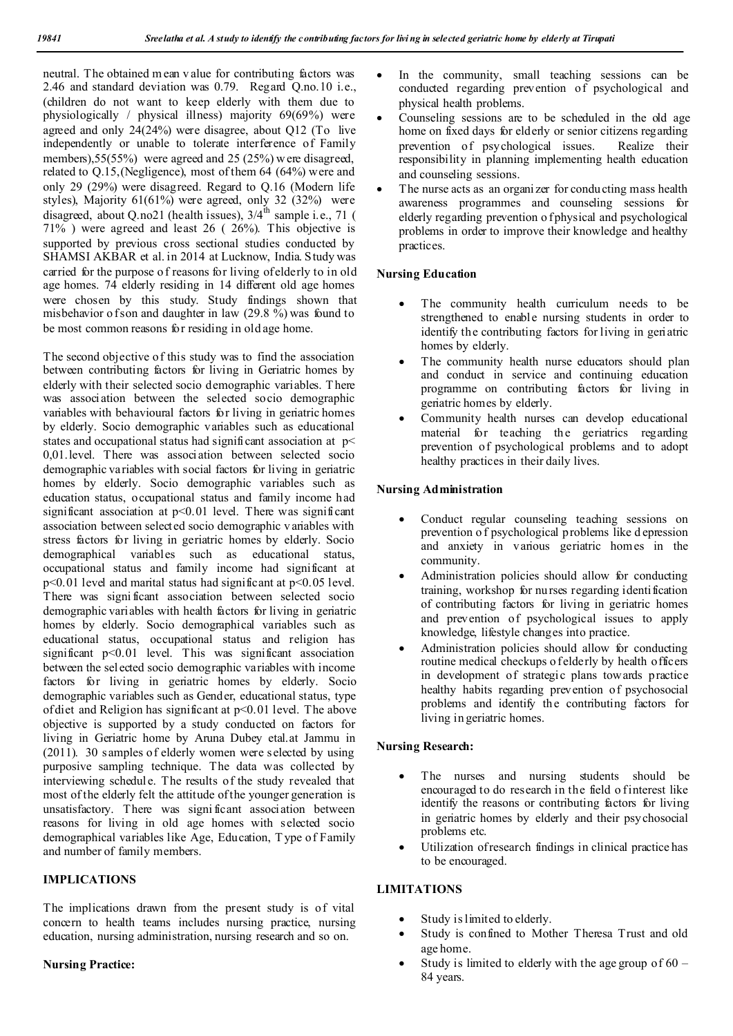neutral. The obtained m ean v alue for contributing factors was 2.46 and standard deviation was 0.79. Regard Q.no.10 i.e., (children do not want to keep elderly with them due to physiologically / physical illness) majority 69(69%) were agreed and only 24(24%) were disagree, about Q12 (To live independently or unable to tolerate interference of Family members), 55(55%) were agreed and 25 (25%) were disagreed, related to Q.15,(Negligence), most of them 64 (64%) were and only 29 (29%) were disagreed. Regard to Q.16 (Modern life styles), Majority 61(61%) were agreed, only 32 (32%) were disagreed, about Q.no21 (health issues),  $3/4^{th}$  sample i.e., 71 ( 71% ) were agreed and least 26 ( 26%). This objective is supported by previous cross sectional studies conducted by SHAMSI AKBAR et al. in 2014 at Lucknow, India. Study was carried for the purpose of reasons for living of elderly to in old age homes. 74 elderly residing in 14 different old age homes were chosen by this study. Study findings shown that misbehavior of son and daughter in law  $(29.8\%)$  was found to be most common reasons for residing in old age home.

The second objective of this study was to find the association between contributing factors for living in Geriatric homes by elderly with their selected socio demographic variables. T here was association between the selected socio demographic variables with behavioural factors for living in geriatric homes by elderly. Socio demographic variables such as educational states and occupational status had significant association at  $p<$ 0,01.level. There was association between selected socio demographic variables with social factors for living in geriatric homes by elderly. Socio demographic variables such as education status, occupational status and family income had significant association at  $p<0.01$  level. There was significant association between selected socio demographic v ariables with stress factors for living in geriatric homes by elderly. Socio demographical variables such as educational status, occupational status and family income had significant at  $p<0.01$  level and marital status had significant at  $p<0.05$  level. There was signi ficant association between selected socio demographic variables with health factors for living in geriatric homes by elderly. Socio demographical variables such as educational status, occupational status and religion has significant p<0.01 level. This was significant association between the selected socio demographic variables with income factors for living in geriatric homes by elderly. Socio demographic variables such as Gender, educational status, type of diet and Religion has significant at  $p<0.01$  level. The above objective is supported by a study conducted on factors for living in Geriatric home by Aruna Dubey etal.at Jammu in (2011). 30 samples of elderly women were selected by using purposive sampling technique. The data was collected by interviewing schedule. The results of the study revealed that most of the elderly felt the attitude of the younger generation is unsatisfactory. There was signi ficant association between reasons for living in old age homes with selected socio demographical variables like Age, Education, T ype of Family and number of family members.

## **IMPLICATIONS**

The implications drawn from the present study is of vital concern to health teams includes nursing practice, nursing education, nursing administration, nursing research and so on.

## **Nursing Practice:**

- In the community, small teaching sessions can be conducted regarding prevention of psychological and physical health problems.
- Counseling sessions are to be scheduled in the old age home on fixed days for elderly or senior citizens regarding prevention of psychological issues. Realize their responsibility in planning implementing health education and counseling sessions.
- The nurse acts as an organizer for conducting mass health awareness programmes and counseling sessions for elderly regarding prevention o f physical and psychological problems in order to improve their knowledge and healthy practices.

## **Nursing Education**

- The community health curriculum needs to be strengthened to enable nursing students in order to identify the contributing factors for living in geriatric homes by elderly.
- The community health nurse educators should plan and conduct in service and continuing education programme on contributing factors for living in geriatric homes by elderly.
- Community health nurses can develop educational material for teaching the geriatrics regarding prevention of psychological problems and to adopt healthy practices in their daily lives.

## **Nursing Administration**

- Conduct regular counseling teaching sessions on prevention o f psychological problems like d epression and anxiety in various geriatric homes in the community.
- Administration policies should allow for conducting training, workshop for nurses regarding identification of contributing factors for living in geriatric homes and prevention of psychological issues to apply knowledge, lifestyle changes into practice.
- Administration policies should allow for conducting routine medical checkups o f elderly by health officers in development of strategic plans towards practice healthy habits regarding prevention of psychosocial problems and identify the contributing factors for living in geriatric homes.

## **Nursing Research:**

- The nurses and nursing students should be encouraged to do research in the field o finterest like identify the reasons or contributing factors for living in geriatric homes by elderly and their psychosocial problems etc.
- Utilization of research findings in clinical practice has to be encouraged.

## **LIMITATIONS**

- Study is limited to elderly.
- Study is confined to Mother Theresa Trust and old age home.
- Study is limited to elderly with the age group of 60 84 years.